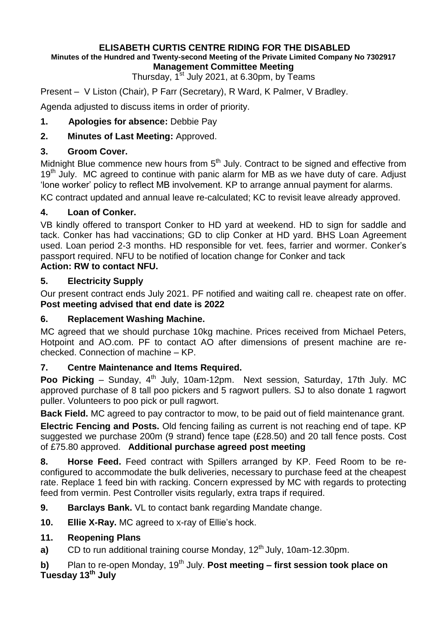# **ELISABETH CURTIS CENTRE RIDING FOR THE DISABLED**

#### **Minutes of the Hundred and Twenty-second Meeting of the Private Limited Company No 7302917 Management Committee Meeting**

Thursday, 1<sup>st</sup> July 2021, at 6.30pm, by Teams

Present – V Liston (Chair), P Farr (Secretary), R Ward, K Palmer, V Bradley.

Agenda adjusted to discuss items in order of priority.

**1. Apologies for absence:** Debbie Pay

# **2. Minutes of Last Meeting:** Approved.

## **3. Groom Cover.**

Midnight Blue commence new hours from 5<sup>th</sup> July. Contract to be signed and effective from 19<sup>th</sup> July. MC agreed to continue with panic alarm for MB as we have duty of care. Adjust 'lone worker' policy to reflect MB involvement. KP to arrange annual payment for alarms.

KC contract updated and annual leave re-calculated; KC to revisit leave already approved.

## **4. Loan of Conker.**

VB kindly offered to transport Conker to HD yard at weekend. HD to sign for saddle and tack. Conker has had vaccinations; GD to clip Conker at HD yard. BHS Loan Agreement used. Loan period 2-3 months. HD responsible for vet. fees, farrier and wormer. Conker's passport required. NFU to be notified of location change for Conker and tack **Action: RW to contact NFU.**

## **5. Electricity Supply**

Our present contract ends July 2021. PF notified and waiting call re. cheapest rate on offer. **Post meeting advised that end date is 2022**

## **6. Replacement Washing Machine.**

MC agreed that we should purchase 10kg machine. Prices received from Michael Peters, Hotpoint and AO.com. PF to contact AO after dimensions of present machine are rechecked. Connection of machine – KP.

#### **7. Centre Maintenance and Items Required.**

**Poo Picking** – Sunday, 4<sup>th</sup> July, 10am-12pm. Next session, Saturday, 17th July. MC approved purchase of 8 tall poo pickers and 5 ragwort pullers. SJ to also donate 1 ragwort puller. Volunteers to poo pick or pull ragwort.

**Back Field.** MC agreed to pay contractor to mow, to be paid out of field maintenance grant.

**Electric Fencing and Posts.** Old fencing failing as current is not reaching end of tape. KP suggested we purchase 200m (9 strand) fence tape (£28.50) and 20 tall fence posts. Cost of £75.80 approved. **Additional purchase agreed post meeting**

**8. Horse Feed.** Feed contract with Spillers arranged by KP. Feed Room to be reconfigured to accommodate the bulk deliveries, necessary to purchase feed at the cheapest rate. Replace 1 feed bin with racking. Concern expressed by MC with regards to protecting feed from vermin. Pest Controller visits regularly, extra traps if required.

- **9. Barclays Bank.** VL to contact bank regarding Mandate change.
- **10. Ellie X-Ray.** MC agreed to x-ray of Ellie's hock.

# **11. Reopening Plans**

**a)** CD to run additional training course Monday, 12<sup>th</sup> July, 10am-12.30pm.

**b)** Plan to re-open Monday, 19<sup>th</sup> July. **Post meeting – first session took place on Tuesday 13th July**